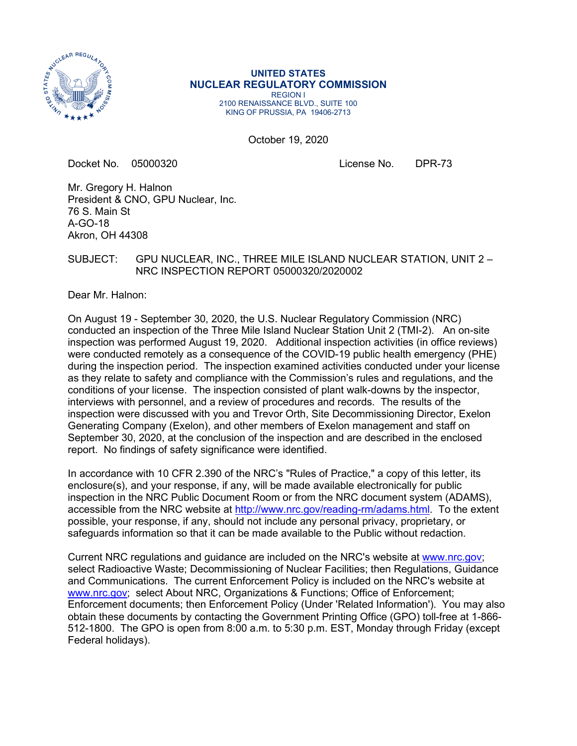

#### **UNITED STATES NUCLEAR REGULATORY COMMISSION** REGION I

2100 RENAISSANCE BLVD., SUITE 100 KING OF PRUSSIA, PA 19406-2713

October 19, 2020

Docket No. 05000320 License No. DPR-73

Mr. Gregory H. Halnon President & CNO, GPU Nuclear, Inc. 76 S. Main St A-GO-18 Akron, OH 44308

#### SUBJECT: GPU NUCLEAR, INC., THREE MILE ISLAND NUCLEAR STATION, UNIT 2 – NRC INSPECTION REPORT 05000320/2020002

Dear Mr. Halnon:

On August 19 - September 30, 2020, the U.S. Nuclear Regulatory Commission (NRC) conducted an inspection of the Three Mile Island Nuclear Station Unit 2 (TMI-2). An on-site inspection was performed August 19, 2020. Additional inspection activities (in office reviews) were conducted remotely as a consequence of the COVID-19 public health emergency (PHE) during the inspection period. The inspection examined activities conducted under your license as they relate to safety and compliance with the Commission's rules and regulations, and the conditions of your license. The inspection consisted of plant walk-downs by the inspector, interviews with personnel, and a review of procedures and records. The results of the inspection were discussed with you and Trevor Orth, Site Decommissioning Director, Exelon Generating Company (Exelon), and other members of Exelon management and staff on September 30, 2020, at the conclusion of the inspection and are described in the enclosed report. No findings of safety significance were identified.

In accordance with 10 CFR 2.390 of the NRC's "Rules of Practice," a copy of this letter, its enclosure(s), and your response, if any, will be made available electronically for public inspection in the NRC Public Document Room or from the NRC document system (ADAMS), accessible from the NRC website at [http://www.nrc.gov/reading-rm/adams.html.](http://www.nrc.gov/reading-rm/adams.html) To the extent possible, your response, if any, should not include any personal privacy, proprietary, or safeguards information so that it can be made available to the Public without redaction.

Current NRC regulations and guidance are included on the NRC's website at [www.nrc.gov;](http://www.nrc.gov/) select Radioactive Waste; Decommissioning of Nuclear Facilities; then Regulations, Guidance and Communications. The current Enforcement Policy is included on the NRC's website at [www.nrc.gov;](http://www.nrc.gov/) select About NRC, Organizations & Functions; Office of Enforcement; Enforcement documents; then Enforcement Policy (Under 'Related Information'). You may also obtain these documents by contacting the Government Printing Office (GPO) toll-free at 1-866- 512-1800. The GPO is open from 8:00 a.m. to 5:30 p.m. EST, Monday through Friday (except Federal holidays).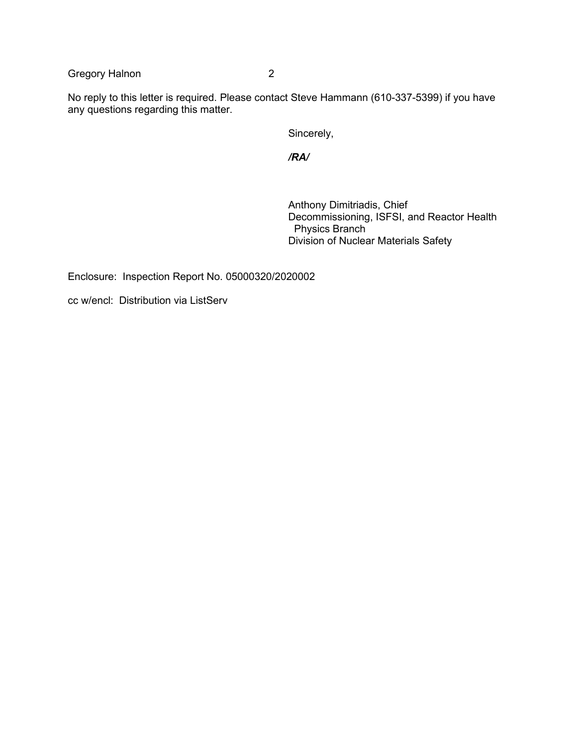Gregory Halnon 2

No reply to this letter is required. Please contact Steve Hammann (610-337-5399) if you have any questions regarding this matter.

Sincerely,

*/RA/*

Anthony Dimitriadis, Chief Decommissioning, ISFSI, and Reactor Health Physics Branch Division of Nuclear Materials Safety

Enclosure: Inspection Report No. 05000320/2020002

cc w/encl: Distribution via ListServ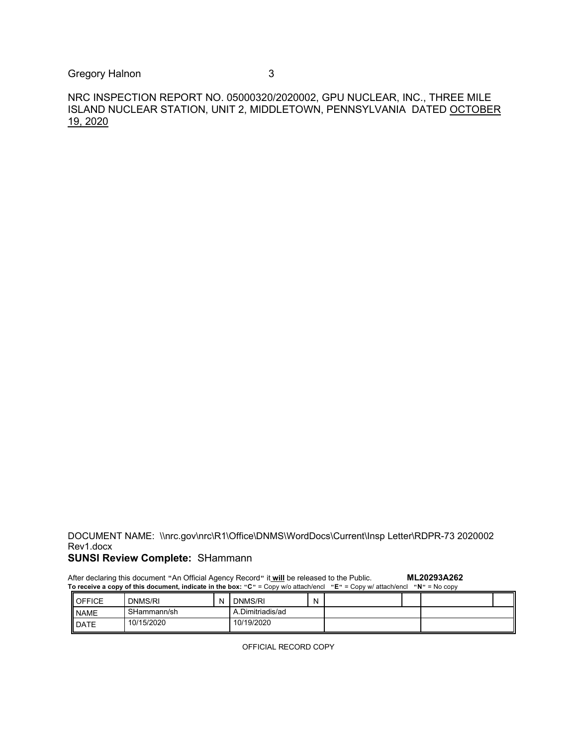Gregory Halnon 3

NRC INSPECTION REPORT NO. 05000320/2020002, GPU NUCLEAR, INC., THREE MILE ISLAND NUCLEAR STATION, UNIT 2, MIDDLETOWN, PENNSYLVANIA DATED OCTOBER 19, 2020

DOCUMENT NAME: \\nrc.gov\nrc\R1\Office\DNMS\WordDocs\Current\Insp Letter\RDPR-73 2020002 Rev1.docx

# **SUNSI Review Complete:** SHammann

| ML20293A262<br>After declaring this document "An Official Agency Record" it will be released to the Public.<br>To receive a copy of this document, indicate in the box: "C" = Copy w/o attach/encl "E" = Copy w/ attach/encl "N" = No copy |             |  |                  |   |  |  |  |  |  |  |
|--------------------------------------------------------------------------------------------------------------------------------------------------------------------------------------------------------------------------------------------|-------------|--|------------------|---|--|--|--|--|--|--|
| <b>I</b> OFFICE                                                                                                                                                                                                                            | DNMS/RI     |  | DNMS/RI          | N |  |  |  |  |  |  |
| <b>NAME</b>                                                                                                                                                                                                                                | SHammann/sh |  | A.Dimitriadis/ad |   |  |  |  |  |  |  |
| DATE                                                                                                                                                                                                                                       | 10/15/2020  |  | 10/19/2020       |   |  |  |  |  |  |  |

OFFICIAL RECORD COPY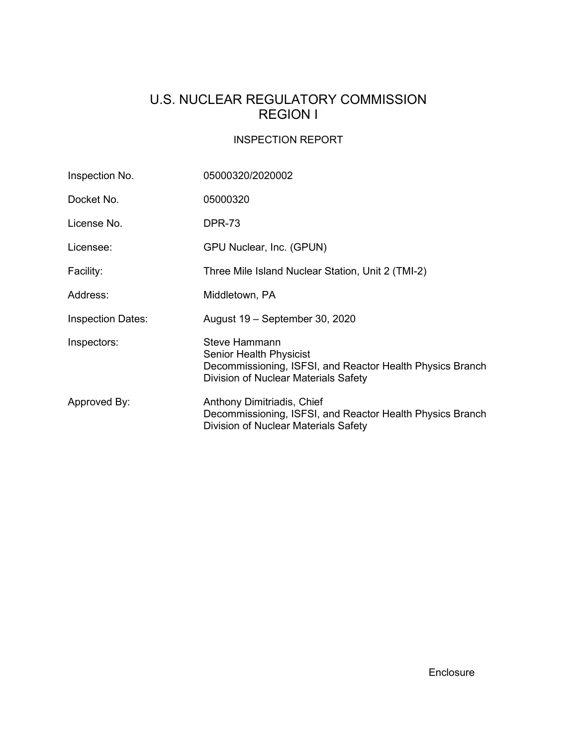# U.S. NUCLEAR REGULATORY COMMISSION REGION I

## INSPECTION REPORT

| Inspection No.           | 05000320/2020002                                                                                                                                            |
|--------------------------|-------------------------------------------------------------------------------------------------------------------------------------------------------------|
| Docket No.               | 05000320                                                                                                                                                    |
| License No.              | <b>DPR-73</b>                                                                                                                                               |
| Licensee:                | GPU Nuclear, Inc. (GPUN)                                                                                                                                    |
| Facility:                | Three Mile Island Nuclear Station, Unit 2 (TMI-2)                                                                                                           |
| Address:                 | Middletown, PA                                                                                                                                              |
| <b>Inspection Dates:</b> | August 19 – September 30, 2020                                                                                                                              |
| Inspectors:              | <b>Steve Hammann</b><br><b>Senior Health Physicist</b><br>Decommissioning, ISFSI, and Reactor Health Physics Branch<br>Division of Nuclear Materials Safety |
| Approved By:             | Anthony Dimitriadis, Chief<br>Decommissioning, ISFSI, and Reactor Health Physics Branch<br>Division of Nuclear Materials Safety                             |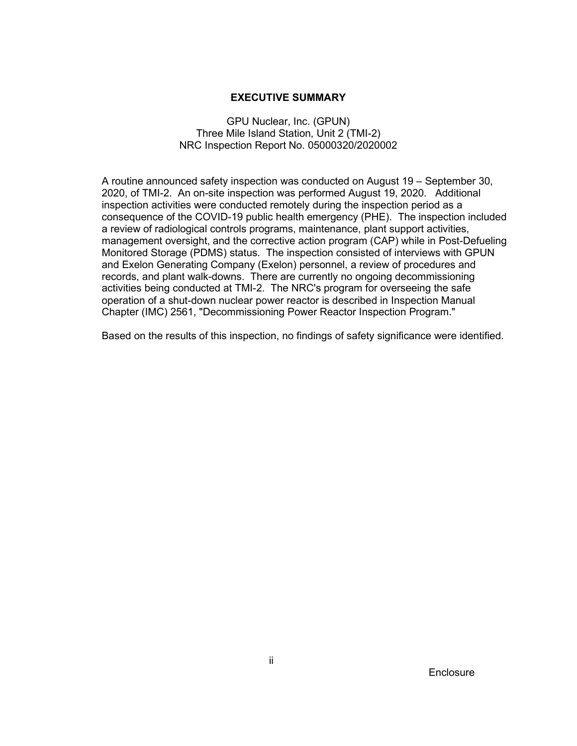#### **EXECUTIVE SUMMARY**

#### GPU Nuclear, Inc. (GPUN) Three Mile Island Station, Unit 2 (TMI-2) NRC Inspection Report No. 05000320/2020002

A routine announced safety inspection was conducted on August 19 – September 30, 2020, of TMI-2. An on-site inspection was performed August 19, 2020. Additional inspection activities were conducted remotely during the inspection period as a consequence of the COVID-19 public health emergency (PHE). The inspection included a review of radiological controls programs, maintenance, plant support activities, management oversight, and the corrective action program (CAP) while in Post-Defueling Monitored Storage (PDMS) status. The inspection consisted of interviews with GPUN and Exelon Generating Company (Exelon) personnel, a review of procedures and records, and plant walk-downs. There are currently no ongoing decommissioning activities being conducted at TMI-2. The NRC's program for overseeing the safe operation of a shut-down nuclear power reactor is described in Inspection Manual Chapter (IMC) 2561, "Decommissioning Power Reactor Inspection Program."

Based on the results of this inspection, no findings of safety significance were identified.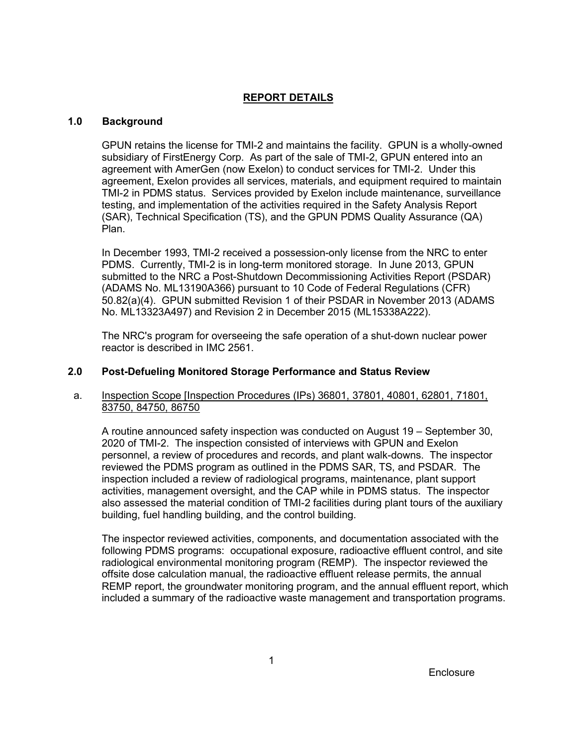#### **REPORT DETAILS**

#### **1.0 Background**

GPUN retains the license for TMI-2 and maintains the facility. GPUN is a wholly-owned subsidiary of FirstEnergy Corp. As part of the sale of TMI-2, GPUN entered into an agreement with AmerGen (now Exelon) to conduct services for TMI-2. Under this agreement, Exelon provides all services, materials, and equipment required to maintain TMI-2 in PDMS status. Services provided by Exelon include maintenance, surveillance testing, and implementation of the activities required in the Safety Analysis Report (SAR), Technical Specification (TS), and the GPUN PDMS Quality Assurance (QA) Plan.

In December 1993, TMI-2 received a possession-only license from the NRC to enter PDMS. Currently, TMI-2 is in long-term monitored storage. In June 2013, GPUN submitted to the NRC a Post-Shutdown Decommissioning Activities Report (PSDAR) (ADAMS No. ML13190A366) pursuant to 10 Code of Federal Regulations (CFR) 50.82(a)(4). GPUN submitted Revision 1 of their PSDAR in November 2013 (ADAMS No. ML13323A497) and Revision 2 in December 2015 (ML15338A222).

The NRC's program for overseeing the safe operation of a shut-down nuclear power reactor is described in IMC 2561.

#### **2.0 Post-Defueling Monitored Storage Performance and Status Review**

#### a. Inspection Scope [Inspection Procedures (IPs) 36801, 37801, 40801, 62801, 71801, 83750, 84750, 86750

A routine announced safety inspection was conducted on August 19 – September 30, 2020 of TMI-2. The inspection consisted of interviews with GPUN and Exelon personnel, a review of procedures and records, and plant walk-downs. The inspector reviewed the PDMS program as outlined in the PDMS SAR, TS, and PSDAR. The inspection included a review of radiological programs, maintenance, plant support activities, management oversight, and the CAP while in PDMS status. The inspector also assessed the material condition of TMI-2 facilities during plant tours of the auxiliary building, fuel handling building, and the control building.

The inspector reviewed activities, components, and documentation associated with the following PDMS programs: occupational exposure, radioactive effluent control, and site radiological environmental monitoring program (REMP). The inspector reviewed the offsite dose calculation manual, the radioactive effluent release permits, the annual REMP report, the groundwater monitoring program, and the annual effluent report, which included a summary of the radioactive waste management and transportation programs.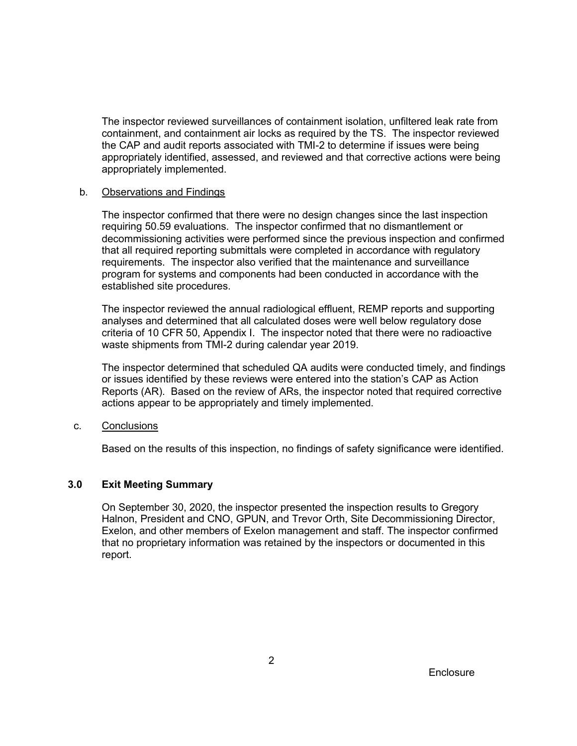The inspector reviewed surveillances of containment isolation, unfiltered leak rate from containment, and containment air locks as required by the TS. The inspector reviewed the CAP and audit reports associated with TMI-2 to determine if issues were being appropriately identified, assessed, and reviewed and that corrective actions were being appropriately implemented.

#### b. Observations and Findings

The inspector confirmed that there were no design changes since the last inspection requiring 50.59 evaluations. The inspector confirmed that no dismantlement or decommissioning activities were performed since the previous inspection and confirmed that all required reporting submittals were completed in accordance with regulatory requirements. The inspector also verified that the maintenance and surveillance program for systems and components had been conducted in accordance with the established site procedures.

The inspector reviewed the annual radiological effluent, REMP reports and supporting analyses and determined that all calculated doses were well below regulatory dose criteria of 10 CFR 50, Appendix I. The inspector noted that there were no radioactive waste shipments from TMI-2 during calendar year 2019.

The inspector determined that scheduled QA audits were conducted timely, and findings or issues identified by these reviews were entered into the station's CAP as Action Reports (AR). Based on the review of ARs, the inspector noted that required corrective actions appear to be appropriately and timely implemented.

c. Conclusions

Based on the results of this inspection, no findings of safety significance were identified.

#### **3.0 Exit Meeting Summary**

On September 30, 2020, the inspector presented the inspection results to Gregory Halnon, President and CNO, GPUN, and Trevor Orth, Site Decommissioning Director, Exelon, and other members of Exelon management and staff. The inspector confirmed that no proprietary information was retained by the inspectors or documented in this report.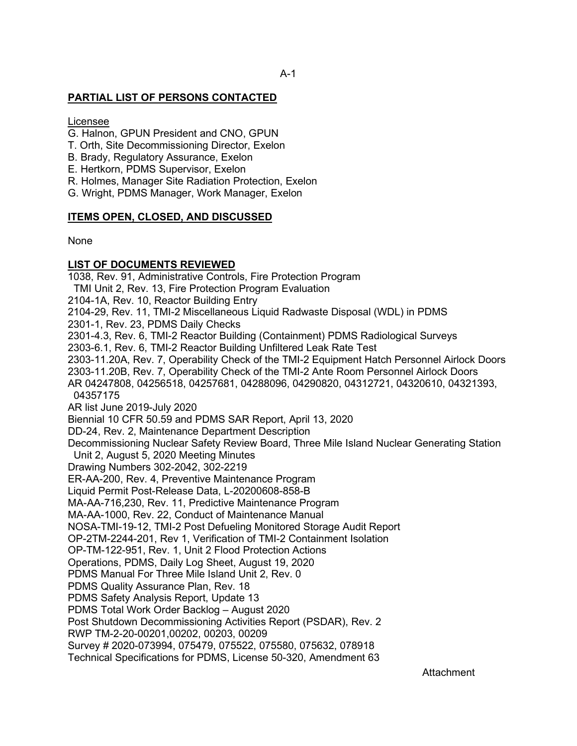#### **PARTIAL LIST OF PERSONS CONTACTED**

Licensee

- G. Halnon, GPUN President and CNO, GPUN
- T. Orth, Site Decommissioning Director, Exelon
- B. Brady, Regulatory Assurance, Exelon
- E. Hertkorn, PDMS Supervisor, Exelon
- R. Holmes, Manager Site Radiation Protection, Exelon
- G. Wright, PDMS Manager, Work Manager, Exelon

#### **ITEMS OPEN, CLOSED, AND DISCUSSED**

None

#### **LIST OF DOCUMENTS REVIEWED**

1038, Rev. 91, Administrative Controls, Fire Protection Program TMI Unit 2, Rev. 13, Fire Protection Program Evaluation 2104-1A, Rev. 10, Reactor Building Entry 2104-29, Rev. 11, TMI-2 Miscellaneous Liquid Radwaste Disposal (WDL) in PDMS 2301-1, Rev. 23, PDMS Daily Checks 2301-4.3, Rev. 6, TMI-2 Reactor Building (Containment) PDMS Radiological Surveys 2303-6.1, Rev. 6, TMI-2 Reactor Building Unfiltered Leak Rate Test 2303-11.20A, Rev. 7, Operability Check of the TMI-2 Equipment Hatch Personnel Airlock Doors 2303-11.20B, Rev. 7, Operability Check of the TMI-2 Ante Room Personnel Airlock Doors AR 04247808, 04256518, 04257681, 04288096, 04290820, 04312721, 04320610, 04321393, 04357175 AR list June 2019-July 2020 Biennial 10 CFR 50.59 and PDMS SAR Report, April 13, 2020 DD-24, Rev. 2, Maintenance Department Description Decommissioning Nuclear Safety Review Board, Three Mile Island Nuclear Generating Station Unit 2, August 5, 2020 Meeting Minutes Drawing Numbers 302-2042, 302-2219 ER-AA-200, Rev. 4, Preventive Maintenance Program Liquid Permit Post-Release Data, L-20200608-858-B MA-AA-716,230, Rev. 11, Predictive Maintenance Program MA-AA-1000, Rev. 22, Conduct of Maintenance Manual NOSA-TMI-19-12, TMI-2 Post Defueling Monitored Storage Audit Report OP-2TM-2244-201, Rev 1, Verification of TMI-2 Containment Isolation OP-TM-122-951, Rev. 1, Unit 2 Flood Protection Actions Operations, PDMS, Daily Log Sheet, August 19, 2020 PDMS Manual For Three Mile Island Unit 2, Rev. 0 PDMS Quality Assurance Plan, Rev. 18 PDMS Safety Analysis Report, Update 13 PDMS Total Work Order Backlog – August 2020 Post Shutdown Decommissioning Activities Report (PSDAR), Rev. 2 RWP TM-2-20-00201,00202, 00203, 00209 Survey # 2020-073994, 075479, 075522, 075580, 075632, 078918 Technical Specifications for PDMS, License 50-320, Amendment 63

Attachment